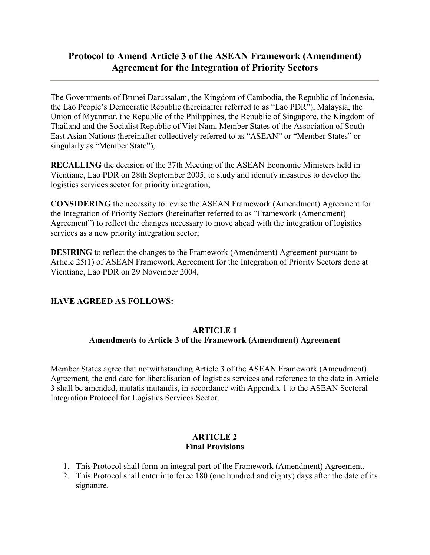# **Protocol to Amend Article 3 of the ASEAN Framework (Amendment) Agreement for the Integration of Priority Sectors**

The Governments of Brunei Darussalam, the Kingdom of Cambodia, the Republic of Indonesia, the Lao People's Democratic Republic (hereinafter referred to as "Lao PDR"), Malaysia, the Union of Myanmar, the Republic of the Philippines, the Republic of Singapore, the Kingdom of Thailand and the Socialist Republic of Viet Nam, Member States of the Association of South East Asian Nations (hereinafter collectively referred to as "ASEAN" or "Member States" or singularly as "Member State"),

**RECALLING** the decision of the 37th Meeting of the ASEAN Economic Ministers held in Vientiane, Lao PDR on 28th September 2005, to study and identify measures to develop the logistics services sector for priority integration;

**CONSIDERING** the necessity to revise the ASEAN Framework (Amendment) Agreement for the Integration of Priority Sectors (hereinafter referred to as "Framework (Amendment) Agreement") to reflect the changes necessary to move ahead with the integration of logistics services as a new priority integration sector;

**DESIRING** to reflect the changes to the Framework (Amendment) Agreement pursuant to Article 25(1) of ASEAN Framework Agreement for the Integration of Priority Sectors done at Vientiane, Lao PDR on 29 November 2004,

## **HAVE AGREED AS FOLLOWS:**

#### **ARTICLE 1**

## **Amendments to Article 3 of the Framework (Amendment) Agreement**

Member States agree that notwithstanding Article 3 of the ASEAN Framework (Amendment) Agreement, the end date for liberalisation of logistics services and reference to the date in Article 3 shall be amended, mutatis mutandis, in accordance with Appendix 1 to the ASEAN Sectoral Integration Protocol for Logistics Services Sector.

### **ARTICLE 2 Final Provisions**

- 1. This Protocol shall form an integral part of the Framework (Amendment) Agreement.
- 2. This Protocol shall enter into force 180 (one hundred and eighty) days after the date of its signature.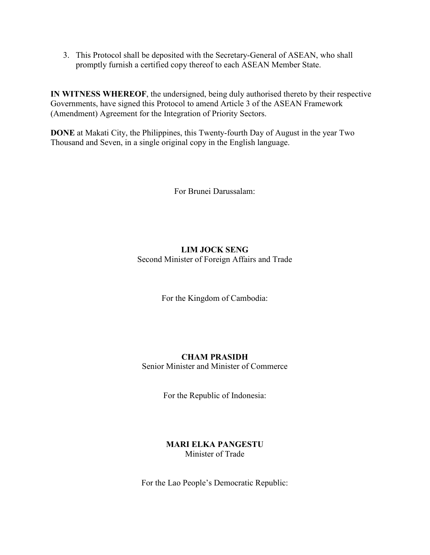3. This Protocol shall be deposited with the Secretary-General of ASEAN, who shall promptly furnish a certified copy thereof to each ASEAN Member State.

**IN WITNESS WHEREOF**, the undersigned, being duly authorised thereto by their respective Governments, have signed this Protocol to amend Article 3 of the ASEAN Framework (Amendment) Agreement for the Integration of Priority Sectors.

**DONE** at Makati City, the Philippines, this Twenty-fourth Day of August in the year Two Thousand and Seven, in a single original copy in the English language.

For Brunei Darussalam:

# **LIM JOCK SENG** Second Minister of Foreign Affairs and Trade

For the Kingdom of Cambodia:

# **CHAM PRASIDH**

Senior Minister and Minister of Commerce

For the Republic of Indonesia:

## **MARI ELKA PANGESTU**  Minister of Trade

For the Lao People's Democratic Republic: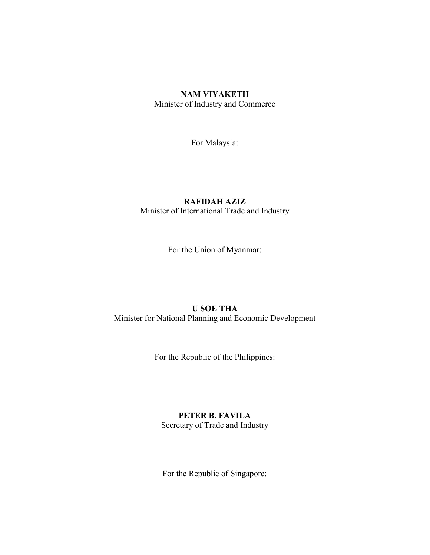### **NAM VIYAKETH** Minister of Industry and Commerce

For Malaysia:

## **RAFIDAH AZIZ**  Minister of International Trade and Industry

For the Union of Myanmar:

#### **U SOE THA**  Minister for National Planning and Economic Development

For the Republic of the Philippines:

## **PETER B. FAVILA**

Secretary of Trade and Industry

For the Republic of Singapore: